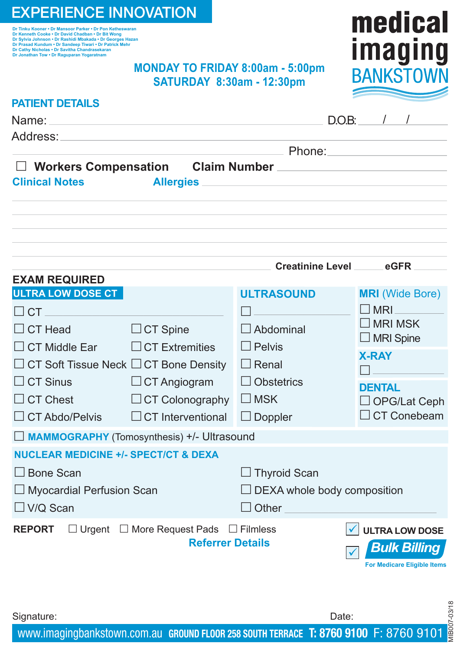# EXPERIENCE INNOVATION

ור ווחגע Kooner • Dr Mansoor Parker • Dr Pon Ketneswaran<br>Dr Kenneth Cooke • Dr David Chadban • Dr Bit Wong<br>Dr Sylvia Johnson • Dr Rashidi Mbakada • Dr Georges Hazan<br>Dr Prasad Kundum • Dr Sandeep Tiwari • Dr Patrick Mehr **Dr Cathy Nicholas • Dr Savitha Chandrasekaran Dr Jonathan Tow • Dr Raguparan Yogaratnam**

## **MONDAY TO FRIDAY 8:00am - 5:00pm SATURDAY 8:30am - 12:30pm**



| <b>PATIENT DETAILS</b>                                                                                                                                                                                                                                             |                                       |                                    |
|--------------------------------------------------------------------------------------------------------------------------------------------------------------------------------------------------------------------------------------------------------------------|---------------------------------------|------------------------------------|
| Name:                                                                                                                                                                                                                                                              |                                       | $D.O.B:$ / /                       |
| Address:<br><u> 1980 - Antonio Alemania, politikar esperantor estatubatuar estatubatuar estatubatuar estatubatuar estatubatua</u>                                                                                                                                  |                                       |                                    |
|                                                                                                                                                                                                                                                                    | <u>___</u> Phone: ___________________ |                                    |
| $\Box$ Workers Compensation<br><b>Clinical Notes</b><br>Allergies                                                                                                                                                                                                  |                                       |                                    |
|                                                                                                                                                                                                                                                                    |                                       |                                    |
|                                                                                                                                                                                                                                                                    |                                       |                                    |
|                                                                                                                                                                                                                                                                    |                                       |                                    |
|                                                                                                                                                                                                                                                                    |                                       |                                    |
|                                                                                                                                                                                                                                                                    | Creatinine Level ______ eGFR          |                                    |
| <b>EXAM REQUIRED</b>                                                                                                                                                                                                                                               |                                       |                                    |
| <b>ULTRA LOW DOSE CT</b>                                                                                                                                                                                                                                           | <b>ULTRASOUND</b>                     | <b>MRI</b> (Wide Bore)             |
| $\Box$ CT and $\Box$ CT and $\Box$ CT and $\Box$ CT and $\Box$ CT and $\Box$ CT and $\Box$ CT and $\Box$ CT and $\Box$ CT and $\Box$ CT and $\Box$ CT and $\Box$ CT and $\Box$ CT and $\Box$ CT and $\Box$ CT and $\Box$ CT and $\Box$ CT and $\Box$ CT and $\Box$ |                                       | $\square$ MRI                      |
| $\Box$ CT Head<br>$\Box$ CT Spine                                                                                                                                                                                                                                  | $\Box$ Abdominal                      | $\Box$ MRI MSK<br>$\Box$ MRI Spine |
| $\Box$ CT Extremities<br>$\Box$ CT Middle Ear                                                                                                                                                                                                                      | $\Box$ Pelvis                         | <b>X-RAY</b>                       |
| $\Box$ CT Soft Tissue Neck $\Box$ CT Bone Density                                                                                                                                                                                                                  | $\Box$ Renal                          |                                    |
| $\Box$ CT Sinus<br>$\Box$ CT Angiogram                                                                                                                                                                                                                             | $\Box$ Obstetrics                     | <b>DENTAL</b>                      |
| $\Box$ CT Chest<br>$\Box$ CT Colonography                                                                                                                                                                                                                          | $\Box$ MSK                            | $\Box$ OPG/Lat Ceph                |
| $\Box$ CT Interventional<br>$\Box$ CT Abdo/Pelvis                                                                                                                                                                                                                  | $\Box$ Doppler                        | $\Box$ CT Conebeam                 |
| MAMMOGRAPHY (Tomosynthesis) +/- Ultrasound                                                                                                                                                                                                                         |                                       |                                    |
| <b>NUCLEAR MEDICINE +/- SPECT/CT &amp; DEXA</b>                                                                                                                                                                                                                    |                                       |                                    |
| □ Bone Scan                                                                                                                                                                                                                                                        | $\Box$ Thyroid Scan                   |                                    |
| $\Box$ Myocardial Perfusion Scan                                                                                                                                                                                                                                   | $\Box$ DEXA whole body composition    |                                    |
| $\Box$ V/Q Scan                                                                                                                                                                                                                                                    | $\Box$ Other                          |                                    |
| $\Box$ Urgent $\Box$ More Request Pads $\Box$ Filmless<br><b>REPORT</b>                                                                                                                                                                                            |                                       | $\checkmark$ ULTRA LOW DOSE        |
|                                                                                                                                                                                                                                                                    | <b>Referrer Details</b>               | <b>Bulk Billing</b>                |
|                                                                                                                                                                                                                                                                    |                                       | <b>For Medicare Eligible Items</b> |
|                                                                                                                                                                                                                                                                    |                                       |                                    |

www.imagingbankstown.com.au **GROUND FLOOR 258 SOUTH TERRACE T: 8760 9100** F: 8760 9101

Signature: Date: Date: Date: Date: Date: Date: Date: Date: Date: Date: Date: Date: Date: Date: Date: Date: Date: Date: Date: Date: Date: Date: Date: Date: Date: Date: Date: Date: Date: Date: Date: Date: Date: Date: Date: D

MIB007-03/18

11B007-03/18